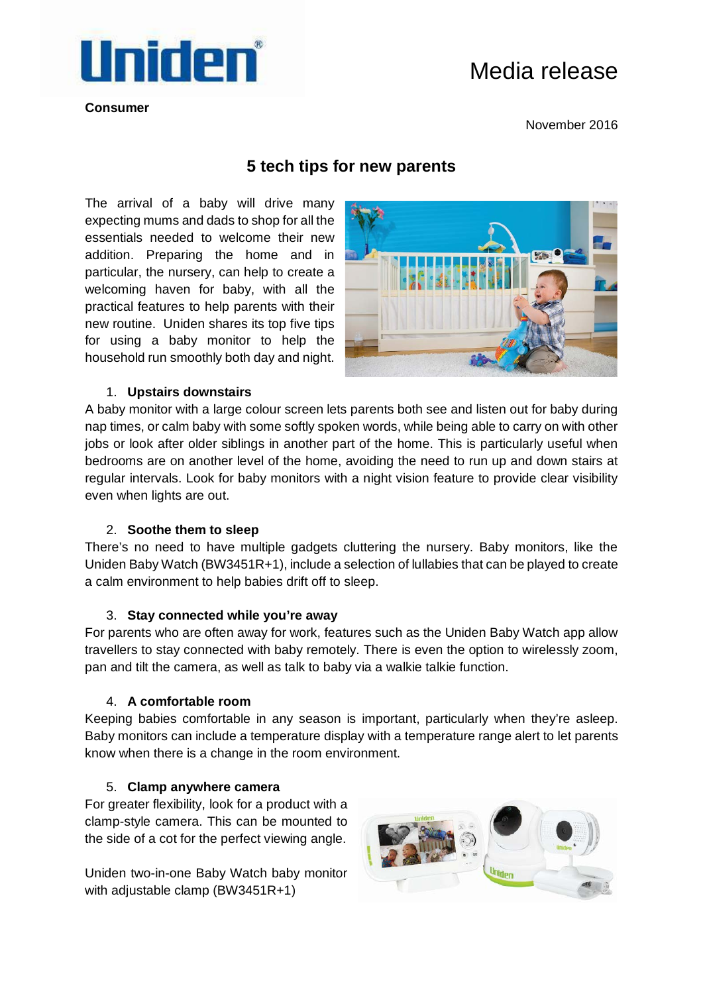

**Consumer** 

# Media release

November 2016

## **5 tech tips for new parents**

The arrival of a baby will drive many expecting mums and dads to shop for all the essentials needed to welcome their new addition. Preparing the home and in particular, the nursery, can help to create a welcoming haven for baby, with all the practical features to help parents with their new routine. Uniden shares its top five tips for using a baby monitor to help the household run smoothly both day and night.



### 1. **Upstairs downstairs**

A baby monitor with a large colour screen lets parents both see and listen out for baby during nap times, or calm baby with some softly spoken words, while being able to carry on with other jobs or look after older siblings in another part of the home. This is particularly useful when bedrooms are on another level of the home, avoiding the need to run up and down stairs at regular intervals. Look for baby monitors with a night vision feature to provide clear visibility even when lights are out.

#### 2. **Soothe them to sleep**

There's no need to have multiple gadgets cluttering the nursery. Baby monitors, like the Uniden Baby Watch (BW3451R+1), include a selection of lullabies that can be played to create a calm environment to help babies drift off to sleep.

#### 3. **Stay connected while you're away**

For parents who are often away for work, features such as the Uniden Baby Watch app allow travellers to stay connected with baby remotely. There is even the option to wirelessly zoom, pan and tilt the camera, as well as talk to baby via a walkie talkie function.

#### 4. **A comfortable room**

Keeping babies comfortable in any season is important, particularly when they're asleep. Baby monitors can include a temperature display with a temperature range alert to let parents know when there is a change in the room environment.

#### 5. **Clamp anywhere camera**

For greater flexibility, look for a product with a clamp-style camera. This can be mounted to the side of a cot for the perfect viewing angle.

Uniden two-in-one Baby Watch baby monitor with adjustable clamp (BW3451R+1)